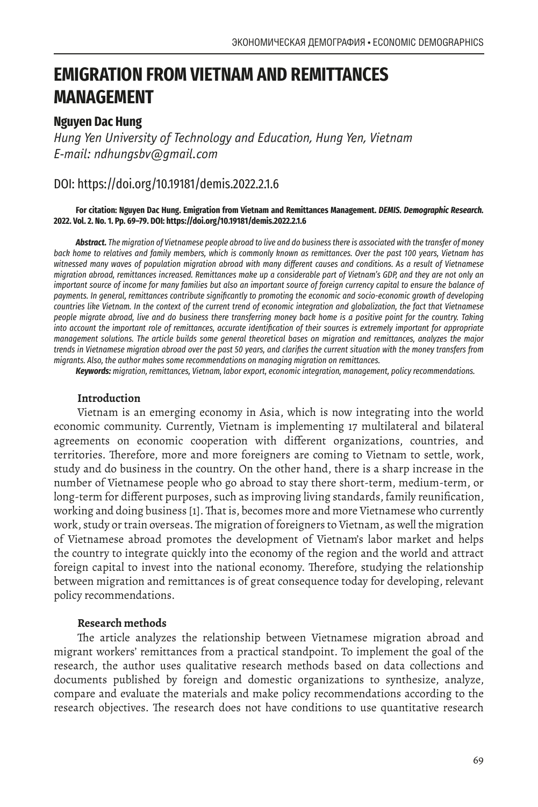# **EMIGRATION FROM VIETNAM AND REMITTANCES MANAGEMENT**

# **Nguyen Dac Hung**

*Hung Yen University of Technology and Education, Hung Yen, Vietnam E-mail: ndhungsbv@gmail.com*

# DOI: https://doi.org/10.19181/demis.2022.2.1.6

#### **For citation: Nguyen Dac Hung. Emigration from Vietnam and Remittances Management.** *DEMIS. Demographic Research.* **2022. Vol. 2. No. 1. Pp. 69–79. DOI: https://doi.org/10.19181/demis.2022.2.1.6**

*Abstract. The migration of Vietnamese people abroad to live and do business there is associated with the transfer of money back home to relatives and family members, which is commonly known as remittances. Over the past 100 years, Vietnam has witnessed many waves of population migration abroad with many different causes and conditions. As a result of Vietnamese migration abroad, remittances increased. Remittances make up a considerable part of Vietnam's GDP, and they are not only an important source of income for many families but also an important source of foreign currency capital to ensure the balance of payments. In general, remittances contribute significantly to promoting the economic and socio-economic growth of developing countries like Vietnam. In the context of the current trend of economic integration and globalization, the fact that Vietnamese people migrate abroad, live and do business there transferring money back home is a positive point for the country. Taking into account the important role of remittances, accurate identification of their sources is extremely important for appropriate management solutions. The article builds some general theoretical bases on migration and remittances, analyzes the major trends in Vietnamese migration abroad over the past 50 years, and clarifies the current situation with the money transfers from migrants. Also, the author makes some recommendations on managing migration on remittances.*

*Keywords: migration, remittances, Vietnam, labor export, economic integration, management, policy recommendations.* 

#### **Introduction**

Vietnam is an emerging economy in Asia, which is now integrating into the world economic community. Currently, Vietnam is implementing 17 multilateral and bilateral agreements on economic cooperation with different organizations, countries, and territories. Therefore, more and more foreigners are coming to Vietnam to settle, work, study and do business in the country. On the other hand, there is a sharp increase in the number of Vietnamese people who go abroad to stay there short-term, medium-term, or long-term for different purposes, such as improving living standards, family reunification, working and doing business [1]. That is, becomes more and more Vietnamese who currently work, study or train overseas. The migration of foreigners to Vietnam, as well the migration of Vietnamese abroad promotes the development of Vietnam's labor market and helps the country to integrate quickly into the economy of the region and the world and attract foreign capital to invest into the national economy. Therefore, studying the relationship between migration and remittances is of great consequence today for developing, relevant policy recommendations.

#### **Research methods**

The article analyzes the relationship between Vietnamese migration abroad and migrant workers' remittances from a practical standpoint. To implement the goal of the research, the author uses qualitative research methods based on data collections and documents published by foreign and domestic organizations to synthesize, analyze, compare and evaluate the materials and make policy recommendations according to the research objectives. The research does not have conditions to use quantitative research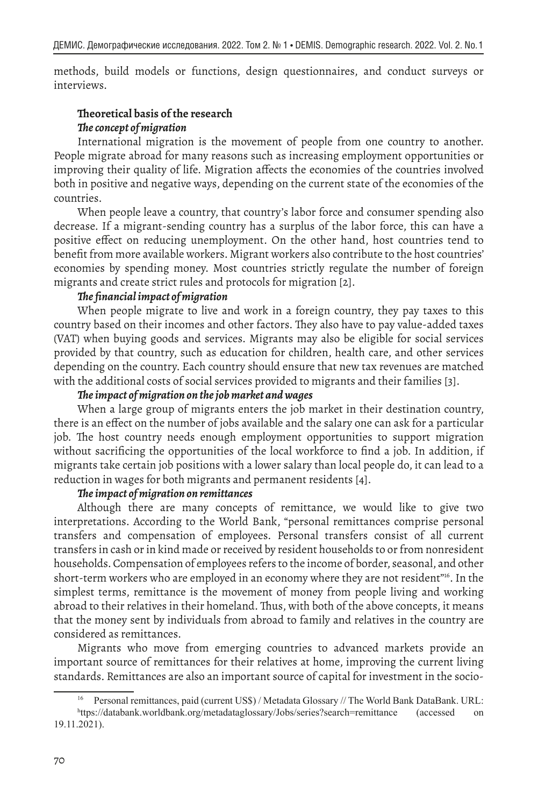methods, build models or functions, design questionnaires, and conduct surveys or interviews.

# **Theoretical basis of the research** *The concept of migration*

International migration is the movement of people from one country to another. People migrate abroad for many reasons such as increasing employment opportunities or improving their quality of life. Migration affects the economies of the countries involved both in positive and negative ways, depending on the current state of the economies of the countries.

When people leave a country, that country's labor force and consumer spending also decrease. If a migrant-sending country has a surplus of the labor force, this can have a positive effect on reducing unemployment. On the other hand, host countries tend to benefit from more available workers. Migrant workers also contribute to the host countries' economies by spending money. Most countries strictly regulate the number of foreign migrants and create strict rules and protocols for migration [2].

## *The financial impact of migration*

When people migrate to live and work in a foreign country, they pay taxes to this country based on their incomes and other factors. They also have to pay value-added taxes (VAT) when buying goods and services. Migrants may also be eligible for social services provided by that country, such as education for children, health care, and other services depending on the country. Each country should ensure that new tax revenues are matched with the additional costs of social services provided to migrants and their families [3].

# *The impact of migration on the job market and wages*

When a large group of migrants enters the job market in their destination country, there is an effect on the number of jobs available and the salary one can ask for a particular job. The host country needs enough employment opportunities to support migration without sacrificing the opportunities of the local workforce to find a job. In addition, if migrants take certain job positions with a lower salary than local people do, it can lead to a reduction in wages for both migrants and permanent residents [4].

## *The impact of migration on remittances*

Although there are many concepts of remittance, we would like to give two interpretations. According to the World Bank, "personal remittances comprise personal transfers and compensation of employees. Personal transfers consist of all current transfers in cash or in kind made or received by resident households to or from nonresident households. Compensation of employees refers to the income of border, seasonal, and other short-term workers who are employed in an economy where they are not resident"<sup>16</sup>. In the simplest terms, remittance is the movement of money from people living and working abroad to their relatives in their homeland. Thus, with both of the above concepts, it means that the money sent by individuals from abroad to family and relatives in the country are considered as remittances.

Migrants who move from emerging countries to advanced markets provide an important source of remittances for their relatives at home, improving the current living standards. Remittances are also an important source of capital for investment in the socio-

<sup>16</sup> Personal remittances, paid (current US\$) / Metadata Glossary // The World Bank DataBank. URL: h ttps://databank.worldbank.org/metadataglossary/Jobs/series?search=remittance (accessed on 19.11.2021).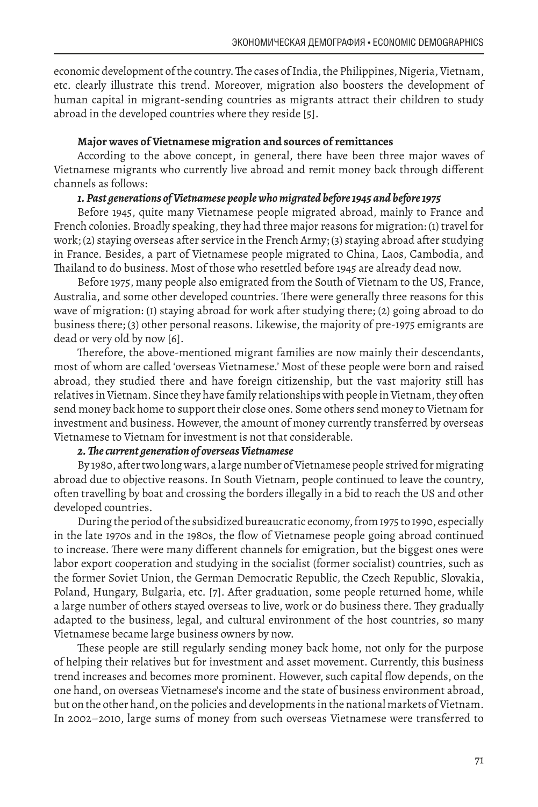economic development of the country. The cases of India, the Philippines, Nigeria, Vietnam, etc. clearly illustrate this trend. Moreover, migration also boosters the development of human capital in migrant-sending countries as migrants attract their children to study abroad in the developed countries where they reside [5].

#### **Major waves of Vietnamese migration and sources of remittances**

According to the above concept, in general, there have been three major waves of Vietnamese migrants who currently live abroad and remit money back through different channels as follows:

# *1. Past generations of Vietnamese people who migrated before 1945 and before 1975*

Before 1945, quite many Vietnamese people migrated abroad, mainly to France and French colonies. Broadly speaking, they had three major reasons for migration: (1) travel for work; (2) staying overseas after service in the French Army; (3) staying abroad after studying in France. Besides, a part of Vietnamese people migrated to China, Laos, Cambodia, and Thailand to do business. Most of those who resettled before 1945 are already dead now.

Before 1975, many people also emigrated from the South of Vietnam to the US, France, Australia, and some other developed countries. There were generally three reasons for this wave of migration: (1) staying abroad for work after studying there; (2) going abroad to do business there; (3) other personal reasons. Likewise, the majority of pre-1975 emigrants are dead or very old by now [6].

Therefore, the above-mentioned migrant families are now mainly their descendants, most of whom are called 'overseas Vietnamese.' Most of these people were born and raised abroad, they studied there and have foreign citizenship, but the vast majority still has relatives in Vietnam. Since they have family relationships with people in Vietnam, they often send money back home to support their close ones. Some others send money to Vietnam for investment and business. However, the amount of money currently transferred by overseas Vietnamese to Vietnam for investment is not that considerable.

#### *2. The current generation of overseas Vietnamese*

By 1980, after two long wars, a large number of Vietnamese people strived for migrating abroad due to objective reasons. In South Vietnam, people continued to leave the country, often travelling by boat and crossing the borders illegally in a bid to reach the US and other developed countries.

During the period of the subsidized bureaucratic economy, from 1975 to 1990, especially in the late 1970s and in the 1980s, the flow of Vietnamese people going abroad continued to increase. There were many different channels for emigration, but the biggest ones were labor export cooperation and studying in the socialist (former socialist) countries, such as the former Soviet Union, the German Democratic Republic, the Czech Republic, Slovakia, Poland, Hungary, Bulgaria, etc. [7]. After graduation, some people returned home, while a large number of others stayed overseas to live, work or do business there. They gradually adapted to the business, legal, and cultural environment of the host countries, so many Vietnamese became large business owners by now.

These people are still regularly sending money back home, not only for the purpose of helping their relatives but for investment and asset movement. Currently, this business trend increases and becomes more prominent. However, such capital flow depends, on the one hand, on overseas Vietnamese's income and the state of business environment abroad, but on the other hand, on the policies and developments in the national markets of Vietnam. In 2002–2010, large sums of money from such overseas Vietnamese were transferred to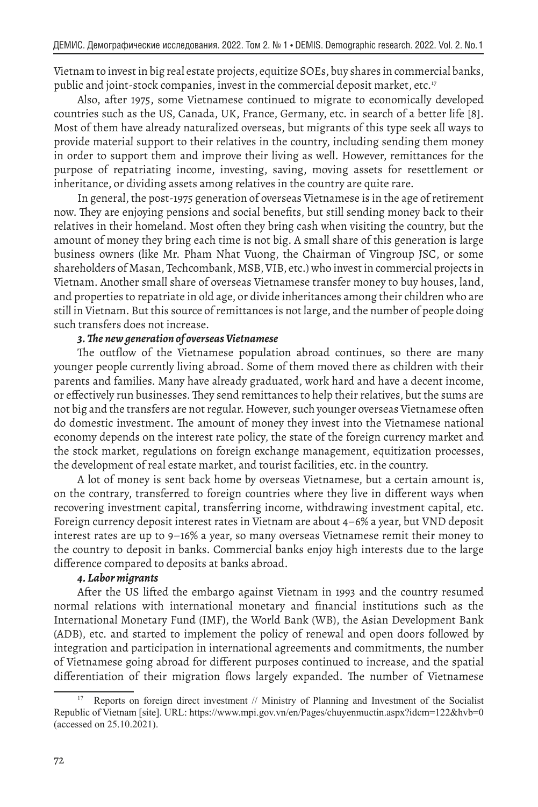Vietnam to invest in big real estate projects, equitize SOEs, buy shares in commercial banks, public and joint-stock companies, invest in the commercial deposit market, etc.<sup>17</sup>

Also, after 1975, some Vietnamese continued to migrate to economically developed countries such as the US, Canada, UK, France, Germany, etc. in search of a better life [8]. Most of them have already naturalized overseas, but migrants of this type seek all ways to provide material support to their relatives in the country, including sending them money in order to support them and improve their living as well. However, remittances for the purpose of repatriating income, investing, saving, moving assets for resettlement or inheritance, or dividing assets among relatives in the country are quite rare.

In general, the post-1975 generation of overseas Vietnamese is in the age of retirement now. They are enjoying pensions and social benefits, but still sending money back to their relatives in their homeland. Most often they bring cash when visiting the country, but the amount of money they bring each time is not big. A small share of this generation is large business owners (like Mr. Pham Nhat Vuong, the Chairman of Vingroup JSC, or some shareholders of Masan, Techcombank, MSB, VIB, etc.) who invest in commercial projects in Vietnam. Another small share of overseas Vietnamese transfer money to buy houses, land, and properties to repatriate in old age, or divide inheritances among their children who are still in Vietnam. But this source of remittances is not large, and the number of people doing such transfers does not increase.

### *3. The new generation of overseas Vietnamese*

The outflow of the Vietnamese population abroad continues, so there are many younger people currently living abroad. Some of them moved there as children with their parents and families. Many have already graduated, work hard and have a decent income, or effectively run businesses. They send remittances to help their relatives, but the sums are not big and the transfers are not regular. However, such younger overseas Vietnamese often do domestic investment. The amount of money they invest into the Vietnamese national economy depends on the interest rate policy, the state of the foreign currency market and the stock market, regulations on foreign exchange management, equitization processes, the development of real estate market, and tourist facilities, etc. in the country.

A lot of money is sent back home by overseas Vietnamese, but a certain amount is, on the contrary, transferred to foreign countries where they live in different ways when recovering investment capital, transferring income, withdrawing investment capital, etc. Foreign currency deposit interest rates in Vietnam are about 4–6% a year, but VND deposit interest rates are up to 9–16% a year, so many overseas Vietnamese remit their money to the country to deposit in banks. Commercial banks enjoy high interests due to the large difference compared to deposits at banks abroad.

#### *4. Labor migrants*

After the US lifted the embargo against Vietnam in 1993 and the country resumed normal relations with international monetary and financial institutions such as the International Monetary Fund (IMF), the World Bank (WB), the Asian Development Bank (ADB), etc. and started to implement the policy of renewal and open doors followed by integration and participation in international agreements and commitments, the number of Vietnamese going abroad for different purposes continued to increase, and the spatial differentiation of their migration flows largely expanded. The number of Vietnamese

<sup>17</sup> Reports on foreign direct investment // Ministry of Planning and Investment of the Socialist Republic of Vietnam [site]. URL: https://www.mpi.gov.vn/en/Pages/chuyenmuctin.aspx?idcm=122&hvb=0 (accessed on 25.10.2021).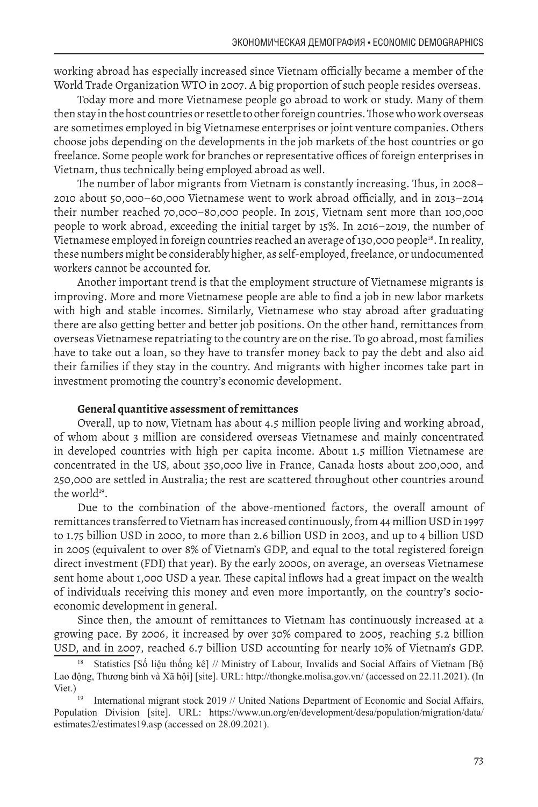working abroad has especially increased since Vietnam officially became a member of the World Trade Organization WTO in 2007. A big proportion of such people resides overseas.

Today more and more Vietnamese people go abroad to work or study. Many of them then stay in the host countries or resettle to other foreign countries. Those who work overseas are sometimes employed in big Vietnamese enterprises or joint venture companies. Others choose jobs depending on the developments in the job markets of the host countries or go freelance. Some people work for branches or representative offices of foreign enterprises in Vietnam, thus technically being employed abroad as well.

The number of labor migrants from Vietnam is constantly increasing. Thus, in 2008– 2010 about 50,000–60,000 Vietnamese went to work abroad officially, and in 2013–2014 their number reached 70,000–80,000 people. In 2015, Vietnam sent more than 100,000 people to work abroad, exceeding the initial target by 15%. In 2016–2019, the number of Vietnamese employed in foreign countries reached an average of 130,000 people<sup>18</sup>. In reality, these numbers might be considerably higher, as self-employed, freelance, or undocumented workers cannot be accounted for.

Another important trend is that the employment structure of Vietnamese migrants is improving. More and more Vietnamese people are able to find a job in new labor markets with high and stable incomes. Similarly, Vietnamese who stay abroad after graduating there are also getting better and better job positions. On the other hand, remittances from overseas Vietnamese repatriating to the country are on the rise. To go abroad, most families have to take out a loan, so they have to transfer money back to pay the debt and also aid their families if they stay in the country. And migrants with higher incomes take part in investment promoting the country's economic development.

#### **General quantitive assessment of remittances**

Overall, up to now, Vietnam has about 4.5 million people living and working abroad, of whom about 3 million are considered overseas Vietnamese and mainly concentrated in developed countries with high per capita income. About 1.5 million Vietnamese are concentrated in the US, about 350,000 live in France, Canada hosts about 200,000, and 250,000 are settled in Australia; the rest are scattered throughout other countries around the world<sup>19</sup>.

Due to the combination of the above-mentioned factors, the overall amount of remittances transferred to Vietnam has increased continuously, from 44 million USD in 1997 to 1.75 billion USD in 2000, to more than 2.6 billion USD in 2003, and up to 4 billion USD in 2005 (equivalent to over 8% of Vietnam's GDP, and equal to the total registered foreign direct investment (FDI) that year). By the early 2000s, on average, an overseas Vietnamese sent home about 1,000 USD a year. These capital inflows had a great impact on the wealth of individuals receiving this money and even more importantly, on the country's socioeconomic development in general.

Since then, the amount of remittances to Vietnam has continuously increased at a growing pace. By 2006, it increased by over 30% compared to 2005, reaching 5.2 billion USD, and in 2007, reached 6.7 billion USD accounting for nearly 10% of Vietnam's GDP.

Statistics [Số liệu thống kê] // Ministry of Labour, Invalids and Social Affairs of Vietnam [Bộ Lao động, Thương binh và Xã hội] [site]. URL: http://thongke.molisa.gov.vn/ (accessed on 22.11.2021). (In Viet.)

<sup>19</sup> International migrant stock 2019 // United Nations Department of Economic and Social Affairs, Population Division [site]. URL: https://www.un.org/en/development/desa/population/migration/data/ estimates2/estimates19.asp (accessed on 28.09.2021).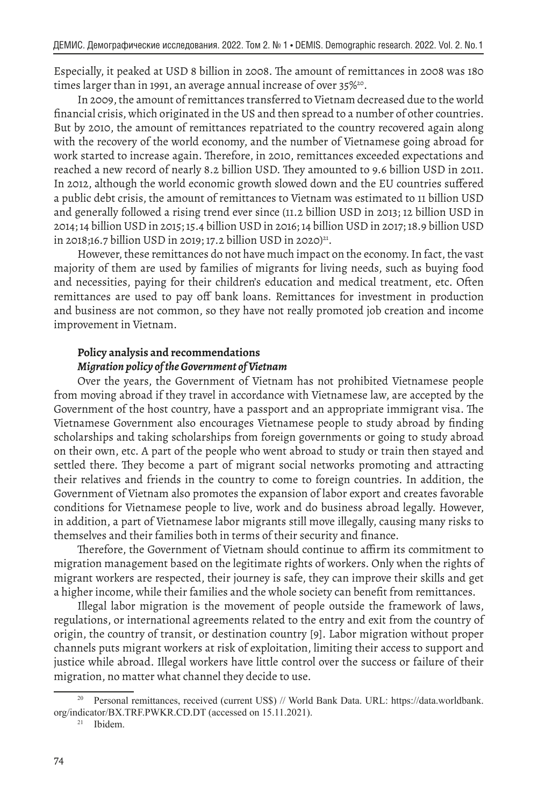Especially, it peaked at USD 8 billion in 2008. The amount of remittances in 2008 was 180 times larger than in 1991, an average annual increase of over 35%<sup>20</sup>.

In 2009, the amount of remittances transferred to Vietnam decreased due to the world financial crisis, which originated in the US and then spread to a number of other countries. But by 2010, the amount of remittances repatriated to the country recovered again along with the recovery of the world economy, and the number of Vietnamese going abroad for work started to increase again. Therefore, in 2010, remittances exceeded expectations and reached a new record of nearly 8.2 billion USD. They amounted to 9.6 billion USD in 2011. In 2012, although the world economic growth slowed down and the EU countries suffered a public debt crisis, the amount of remittances to Vietnam was estimated to 11 billion USD and generally followed a rising trend ever since (11.2 billion USD in 2013; 12 billion USD in 2014; 14 billion USD in 2015; 15.4 billion USD in 2016; 14 billion USD in 2017; 18.9 billion USD in 2018;16.7 billion USD in 2019; 17.2 billion USD in 2020)<sup>21</sup>.

However, these remittances do not have much impact on the economy. In fact, the vast majority of them are used by families of migrants for living needs, such as buying food and necessities, paying for their children's education and medical treatment, etc. Often remittances are used to pay off bank loans. Remittances for investment in production and business are not common, so they have not really promoted job creation and income improvement in Vietnam.

# **Policy analysis and recommendations**  *Migration policy of the Government of Vietnam*

Over the years, the Government of Vietnam has not prohibited Vietnamese people from moving abroad if they travel in accordance with Vietnamese law, are accepted by the Government of the host country, have a passport and an appropriate immigrant visa. The Vietnamese Government also encourages Vietnamese people to study abroad by finding scholarships and taking scholarships from foreign governments or going to study abroad on their own, etc. A part of the people who went abroad to study or train then stayed and settled there. They become a part of migrant social networks promoting and attracting their relatives and friends in the country to come to foreign countries. In addition, the Government of Vietnam also promotes the expansion of labor export and creates favorable conditions for Vietnamese people to live, work and do business abroad legally. However, in addition, a part of Vietnamese labor migrants still move illegally, causing many risks to themselves and their families both in terms of their security and finance.

Therefore, the Government of Vietnam should continue to affirm its commitment to migration management based on the legitimate rights of workers. Only when the rights of migrant workers are respected, their journey is safe, they can improve their skills and get a higher income, while their families and the whole society can benefit from remittances.

Illegal labor migration is the movement of people outside the framework of laws, regulations, or international agreements related to the entry and exit from the country of origin, the country of transit, or destination country [9]. Labor migration without proper channels puts migrant workers at risk of exploitation, limiting their access to support and justice while abroad. Illegal workers have little control over the success or failure of their migration, no matter what channel they decide to use.

<sup>20</sup> Personal remittances, received (current US\$) // World Bank Data. URL: https://data.worldbank. org/indicator/BX.TRF.PWKR.CD.DT (accessed on 15.11.2021).

Ibidem.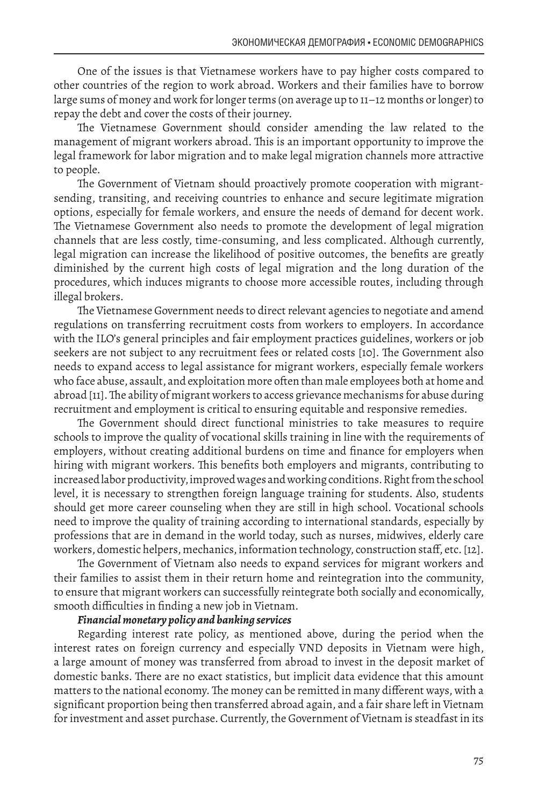One of the issues is that Vietnamese workers have to pay higher costs compared to other countries of the region to work abroad. Workers and their families have to borrow large sums of money and work for longer terms (on average up to 11–12 months or longer) to repay the debt and cover the costs of their journey.

The Vietnamese Government should consider amending the law related to the management of migrant workers abroad. This is an important opportunity to improve the legal framework for labor migration and to make legal migration channels more attractive to people.

The Government of Vietnam should proactively promote cooperation with migrantsending, transiting, and receiving countries to enhance and secure legitimate migration options, especially for female workers, and ensure the needs of demand for decent work. The Vietnamese Government also needs to promote the development of legal migration channels that are less costly, time-consuming, and less complicated. Although currently, legal migration can increase the likelihood of positive outcomes, the benefits are greatly diminished by the current high costs of legal migration and the long duration of the procedures, which induces migrants to choose more accessible routes, including through illegal brokers.

The Vietnamese Government needs to direct relevant agencies to negotiate and amend regulations on transferring recruitment costs from workers to employers. In accordance with the ILO's general principles and fair employment practices guidelines, workers or job seekers are not subject to any recruitment fees or related costs [10]. The Government also needs to expand access to legal assistance for migrant workers, especially female workers who face abuse, assault, and exploitation more often than male employees both at home and abroad [11]. The ability of migrant workers to access grievance mechanisms for abuse during recruitment and employment is critical to ensuring equitable and responsive remedies.

The Government should direct functional ministries to take measures to require schools to improve the quality of vocational skills training in line with the requirements of employers, without creating additional burdens on time and finance for employers when hiring with migrant workers. This benefits both employers and migrants, contributing to increased labor productivity, improved wages and working conditions. Right from the school level, it is necessary to strengthen foreign language training for students. Also, students should get more career counseling when they are still in high school. Vocational schools need to improve the quality of training according to international standards, especially by professions that are in demand in the world today, such as nurses, midwives, elderly care workers, domestic helpers, mechanics, information technology, construction staff, etc. [12].

The Government of Vietnam also needs to expand services for migrant workers and their families to assist them in their return home and reintegration into the community, to ensure that migrant workers can successfully reintegrate both socially and economically, smooth difficulties in finding a new job in Vietnam.

### *Financial monetary policy and banking services*

Regarding interest rate policy, as mentioned above, during the period when the interest rates on foreign currency and especially VND deposits in Vietnam were high, a large amount of money was transferred from abroad to invest in the deposit market of domestic banks. There are no exact statistics, but implicit data evidence that this amount matters to the national economy. The money can be remitted in many different ways, with a significant proportion being then transferred abroad again, and a fair share left in Vietnam for investment and asset purchase. Currently, the Government of Vietnam is steadfast in its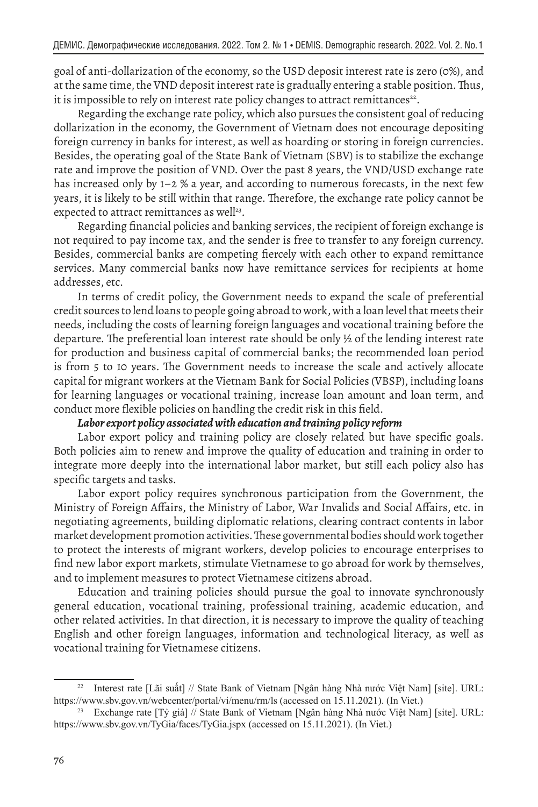goal of anti-dollarization of the economy, so the USD deposit interest rate is zero (0%), and at the same time, the VND deposit interest rate is gradually entering a stable position. Thus, it is impossible to rely on interest rate policy changes to attract remittances<sup>22</sup>.

Regarding the exchange rate policy, which also pursues the consistent goal of reducing dollarization in the economy, the Government of Vietnam does not encourage depositing foreign currency in banks for interest, as well as hoarding or storing in foreign currencies. Besides, the operating goal of the State Bank of Vietnam (SBV) is to stabilize the exchange rate and improve the position of VND. Over the past 8 years, the VND/USD exchange rate has increased only by 1–2 % a year, and according to numerous forecasts, in the next few years, it is likely to be still within that range. Therefore, the exchange rate policy cannot be expected to attract remittances as well<sup>23</sup>.

Regarding financial policies and banking services, the recipient of foreign exchange is not required to pay income tax, and the sender is free to transfer to any foreign currency. Besides, commercial banks are competing fiercely with each other to expand remittance services. Many commercial banks now have remittance services for recipients at home addresses, etc.

In terms of credit policy, the Government needs to expand the scale of preferential credit sources to lend loans to people going abroad to work, with a loan level that meets their needs, including the costs of learning foreign languages and vocational training before the departure. The preferential loan interest rate should be only ½ of the lending interest rate for production and business capital of commercial banks; the recommended loan period is from 5 to 10 years. The Government needs to increase the scale and actively allocate capital for migrant workers at the Vietnam Bank for Social Policies (VBSP), including loans for learning languages or vocational training, increase loan amount and loan term, and conduct more flexible policies on handling the credit risk in this field.

## *Labor export policy associated with education and training policy reform*

Labor export policy and training policy are closely related but have specific goals. Both policies aim to renew and improve the quality of education and training in order to integrate more deeply into the international labor market, but still each policy also has specific targets and tasks.

Labor export policy requires synchronous participation from the Government, the Ministry of Foreign Affairs, the Ministry of Labor, War Invalids and Social Affairs, etc. in negotiating agreements, building diplomatic relations, clearing contract contents in labor market development promotion activities. These governmental bodies should work together to protect the interests of migrant workers, develop policies to encourage enterprises to find new labor export markets, stimulate Vietnamese to go abroad for work by themselves, and to implement measures to protect Vietnamese citizens abroad.

Education and training policies should pursue the goal to innovate synchronously general education, vocational training, professional training, academic education, and other related activities. In that direction, it is necessary to improve the quality of teaching English and other foreign languages, information and technological literacy, as well as vocational training for Vietnamese citizens.

<sup>22</sup> Interest rate [Lãi suất] // State Bank of Vietnam [Ngân hàng Nhà nước Việt Nam] [site]. URL: https://www.sbv.gov.vn/webcenter/portal/vi/menu/rm/ls (accessed on 15.11.2021). (In Viet.)

<sup>23</sup> Exchange rate [Tỷ giá] // State Bank of Vietnam [Ngân hàng Nhà nước Việt Nam] [site]. URL: https://www.sbv.gov.vn/TyGia/faces/TyGia.jspx (accessed on 15.11.2021). (In Viet.)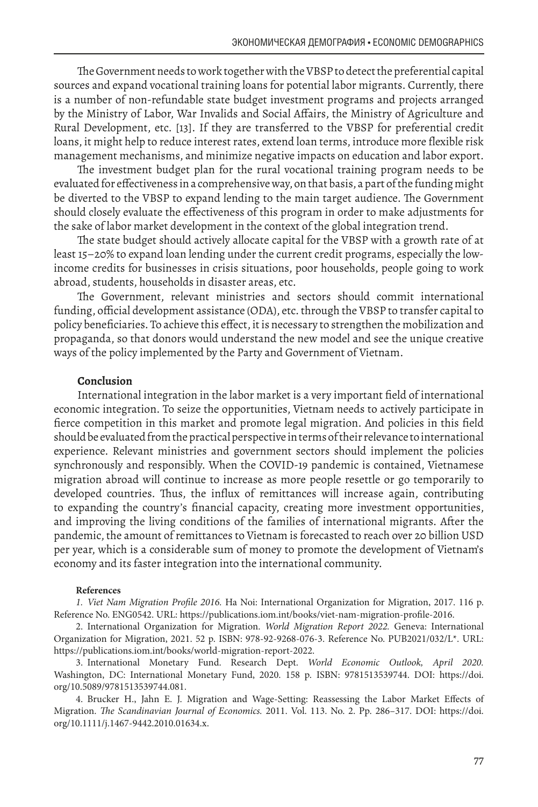The Government needs to work together with the VBSP to detect the preferential capital sources and expand vocational training loans for potential labor migrants. Currently, there is a number of non-refundable state budget investment programs and projects arranged by the Ministry of Labor, War Invalids and Social Affairs, the Ministry of Agriculture and Rural Development, etc. [13]. If they are transferred to the VBSP for preferential credit loans, it might help to reduce interest rates, extend loan terms, introduce more flexible risk management mechanisms, and minimize negative impacts on education and labor export.

The investment budget plan for the rural vocational training program needs to be evaluated for effectiveness in a comprehensive way, on that basis, a part of the funding might be diverted to the VBSP to expand lending to the main target audience. The Government should closely evaluate the effectiveness of this program in order to make adjustments for the sake of labor market development in the context of the global integration trend.

The state budget should actively allocate capital for the VBSP with a growth rate of at least 15–20% to expand loan lending under the current credit programs, especially the lowincome credits for businesses in crisis situations, poor households, people going to work abroad, students, households in disaster areas, etc.

The Government, relevant ministries and sectors should commit international funding, official development assistance (ODA), etc. through the VBSP to transfer capital to policy beneficiaries. To achieve this effect, it is necessary to strengthen the mobilization and propaganda, so that donors would understand the new model and see the unique creative ways of the policy implemented by the Party and Government of Vietnam.

#### **Conclusion**

International integration in the labor market is a very important field of international economic integration. To seize the opportunities, Vietnam needs to actively participate in fierce competition in this market and promote legal migration. And policies in this field should be evaluated from the practical perspective in terms of their relevance to international experience. Relevant ministries and government sectors should implement the policies synchronously and responsibly. When the COVID-19 pandemic is contained, Vietnamese migration abroad will continue to increase as more people resettle or go temporarily to developed countries. Thus, the influx of remittances will increase again, contributing to expanding the country's financial capacity, creating more investment opportunities, and improving the living conditions of the families of international migrants. After the pandemic, the amount of remittances to Vietnam is forecasted to reach over 20 billion USD per year, which is a considerable sum of money to promote the development of Vietnam's economy and its faster integration into the international community.

#### **References**

*1. Viet Nam Migration Profile 2016.* Ha Noi: International Organization for Migration, 2017. 116 p. Reference No. ENG0542. URL: https://publications.iom.int/books/viet-nam-migration-profile-2016.

2. International Organization for Migration. *World Migration Report 2022.* Geneva: International Organization for Migration, 2021. 52 p. ISBN: 978-92-9268-076-3. Reference No. PUB2021/032/L\*. URL: https://publications.iom.int/books/world-migration-report-2022.

3. International Monetary Fund. Research Dept. *World Economic Outlook, April 2020.* Washington, DC: International Monetary Fund, 2020. 158 p. ISBN: 9781513539744. DOI: https://doi. org/10.5089/9781513539744.081.

4. Brucker H., Jahn E. J. Migration and Wage-Setting: Reassessing the Labor Market Effects of Migration. *The Scandinavian Journal of Economics.* 2011. Vol. 113. No. 2. Pp. 286–317. DOI: https://doi. org/10.1111/j.1467-9442.2010.01634.x.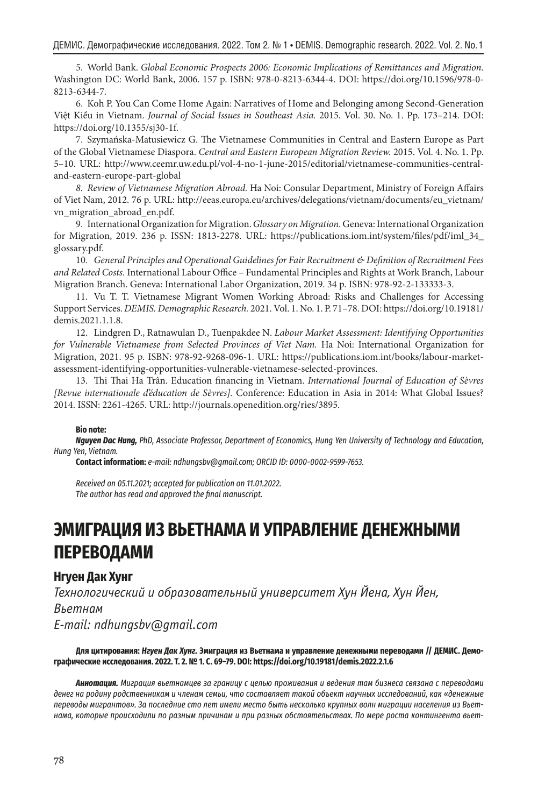5. World Bank. *Global Economic Prospects 2006: Economic Implications of Remittances and Migration.* Washington DC: World Bank, 2006. 157 p. ISBN: 978-0-8213-6344-4. DOI: https://doi.org/10.1596/978-0- 8213-6344-7.

6. Koh P. You Can Come Home Again: Narratives of Home and Belonging among Second-Generation Việt Kiều in Vietnam. *Journal of Social Issues in Southeast Asia.* 2015. Vol. 30. No. 1. Pp. 173–214. DOI: https://doi.org/10.1355/sj30-1f.

7. Szymańska-Matusiewicz G. The Vietnamese Communities in Central and Eastern Europe as Part of the Global Vietnamese Diaspora. *Central and Eastern European Migration Review.* 2015. Vol. 4. No. 1. Pp. 5–10. URL: http://www.ceemr.uw.edu.pl/vol-4-no-1-june-2015/editorial/vietnamese-communities-centraland-eastern-europe-part-global

*8. Review of Vietnamese Migration Abroad.* Ha Noi: Consular Department, Ministry of Foreign Affairs of Viet Nam, 2012. 76 p. URL: http://eeas.europa.eu/archives/delegations/vietnam/documents/eu\_vietnam/ vn\_migration\_abroad\_en.pdf.

9. International Organization for Migration. *Glossary on Migration.* Geneva: International Organization for Migration, 2019. 236 p. ISSN: 1813-2278. URL: https://publications.iom.int/system/files/pdf/iml\_34\_ glossary.pdf.

10*. General Principles and Operational Guidelines for Fair Recruitment & Definition of Recruitment Fees and Related Costs.* International Labour Office – Fundamental Principles and Rights at Work Branch, Labour Migration Branch. Geneva: International Labor Organization, 2019. 34 p. ISBN: 978-92-2-133333-3.

11. Vu T. T. Vietnamese Migrant Women Working Abroad: Risks and Challenges for Accessing Support Services. *DEMIS. Demographic Research.* 2021. Vol. 1. No. 1. P. 71–78. DOI: https://doi.org/10.19181/ demis.2021.1.1.8.

12. Lindgren D., Ratnawulan D., Tuenpakdee N. *Labour Market Assessment: Identifying Opportunities for Vulnerable Vietnamese from Selected Provinces of Viet Nam.* Ha Noi: International Organization for Migration, 2021. 95 p. ISBN: 978-92-9268-096-1. URL: https://publications.iom.int/books/labour-marketassessment-identifying-opportunities-vulnerable-vietnamese-selected-provinces.

13. Thi Thai Ha Trân. Education financing in Vietnam. *International Journal of Education of Sèvres [Revue internationale d'éducation de Sèvres].* Conference: Education in Asia in 2014: What Global Issues? 2014. ISSN: 2261-4265. URL: http://journals.openedition.org/ries/3895.

#### **Bio note:**

*Nguyen Dac Hung, PhD, Associate Professor, Department of Economics, Hung Yen University of Technology and Education, Hung Yen, Vietnam.*

**Contact information:** *e-mail: ndhungsbv@gmail.com; ORCID ID: 0000-0002-9599-7653.* 

*Received on 05.11.2021; accepted for publication on 11.01.2022. The author has read and approved the final manuscript.*

# **ЭМИГРАЦИЯ ИЗ ВЬЕТНАМА И УПРАВЛЕНИЕ ДЕНЕЖНЫМИ ПЕРЕВОДАМИ**

# **Нгуен Дак Хунг**

*Технологический и образовательный университет Хун Йена, Хун Йен, Вьетнам E-mail: ndhungsbv@gmail.com*

**Для цитирования:** *Нгуен Дак Хунг.* **Эмиграция из Вьетнама и управление денежными переводами // ДЕМИС. Демографические исследования. 2022. Т. 2. № 1. С. 69–79. DOI: https://doi.org/10.19181/demis.2022.2.1.6**

*Аннотация. Миграция вьетнамцев за границу с целью проживания и ведения там бизнеса связана с переводами денег на родину родственникам и членам семьи, что составляет такой объект научных исследований, как «денежные переводы мигрантов». За последние сто лет имели место быть несколько крупных волн миграции населения из Вьетнама, которые происходили по разным причинам и при разных обстоятельствах. По мере роста контингента вьет-*